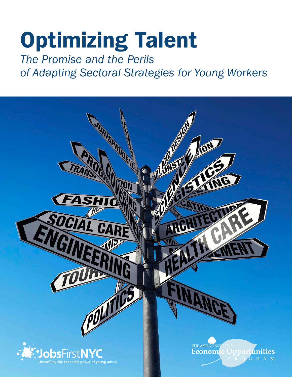# Optimizing Talent

# *The Promise and the Perils of Adapting Sectoral Strategies for Young Workers*

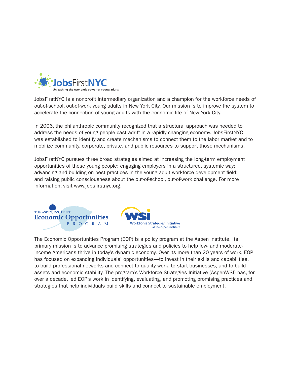

JobsFirstNYC is a nonprofit intermediary organization and a champion for the workforce needs of out-of-school, out-of-work young adults in New York City. Our mission is to improve the system to accelerate the connection of young adults with the economic life of New York City.

In 2006, the philanthropic community recognized that a structural approach was needed to address the needs of young people cast adrift in a rapidly changing economy. JobsFirstNYC was established to identify and create mechanisms to connect them to the labor market and to mobilize community, corporate, private, and public resources to support those mechanisms.

JobsFirstNYC pursues three broad strategies aimed at increasing the long-term employment opportunities of these young people: engaging employers in a structured, systemic way; advancing and building on best practices in the young adult workforce development field; and raising public consciousness about the out-of-school, out-of-work challenge. For more information, visit www.jobsfirstnyc.org.



The Economic Opportunities Program (EOP) is a policy program at the Aspen Institute. Its primary mission is to advance promising strategies and policies to help low- and moderateincome Americans thrive in today's dynamic economy. Over its more than 20 years of work, EOP has focused on expanding individuals' opportunities—to invest in their skills and capabilities, to build professional networks and connect to quality work, to start businesses, and to build assets and economic stability. The program's Workforce Strategies Initiative (AspenWSI) has, for over a decade, led EOP's work in identifying, evaluating, and promoting promising practices and strategies that help individuals build skills and connect to sustainable employment.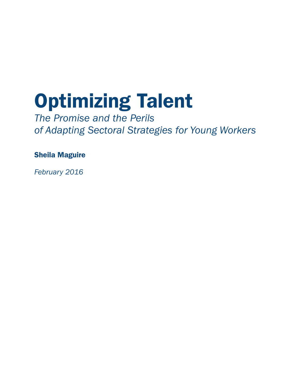# Optimizing Talent

*The Promise and the Perils of Adapting Sectoral Strategies for Young Workers*

Sheila Maguire

*February 2016*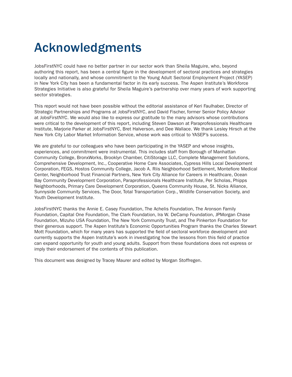# Acknowledgments

JobsFirstNYC could have no better partner in our sector work than Sheila Maguire, who, beyond authoring this report, has been a central figure in the development of sectoral practices and strategies locally and nationally, and whose commitment to the Young Adult Sectoral Employment Project (YASEP) in New York City has been a fundamental factor in its early success. The Aspen Institute's Workforce Strategies Initiative is also grateful for Sheila Maguire's partnership over many years of work supporting sector strategies.

This report would not have been possible without the editorial assistance of Keri Faulhaber, Director of Strategic Partnerships and Programs at JobsFirstNYC, and David Fischer, former Senior Policy Advisor at JobsFirstNYC. We would also like to express our gratitude to the many advisors whose contributions were critical to the development of this report, including Steven Dawson at Paraprofessionals Healthcare Institute, Marjorie Parker at JobsFirstNYC, Bret Halverson, and Dee Wallace. We thank Lesley Hirsch at the New York City Labor Market Information Service, whose work was critical to YASEP's success.

We are grateful to our colleagues who have been participating in the YASEP and whose insights, experiences, and commitment were instrumental. This includes staff from Borough of Manhattan Community College, BronxWorks, Brooklyn Chamber, CitiStorage LLC, Complete Management Solutions, Comprehensive Development, Inc., Cooperative Home Care Associates, Cypress Hills Local Development Corporation, FEGS, Hostos Community College, Jacob A. Riis Neighborhood Settlement, Montefiore Medical Center, Neighborhood Trust Financial Partners, New York City Alliance for Careers in Healthcare, Ocean Bay Community Development Corporation, Paraprofessionals Healthcare Institute, Per Scholas, Phipps Neighborhoods, Primary Care Development Corporation, Queens Community House, St. Nicks Alliance, Sunnyside Community Services, The Door, Total Transportation Corp., Wildlife Conservation Society, and Youth Development Institute.

JobsFirstNYC thanks the Annie E. Casey Foundation, The Achelis Foundation, The Aronson Family Foundation, Capital One Foundation, The Clark Foundation, Ira W. DeCamp Foundation, JPMorgan Chase Foundation, Mizuho USA Foundation, The New York Community Trust, and The Pinkerton Foundation for their generous support. The Aspen Institute's Economic Opportunities Program thanks the Charles Stewart Mott Foundation, which for many years has supported the field of sectoral workforce development and currently supports the Aspen Institute's work in investigating how the lessons from this field of practice can expand opportunity for youth and young adults. Support from these foundations does not express or imply their endorsement of the contents of this publication.

This document was designed by Tracey Maurer and edited by Morgan Stoffregen.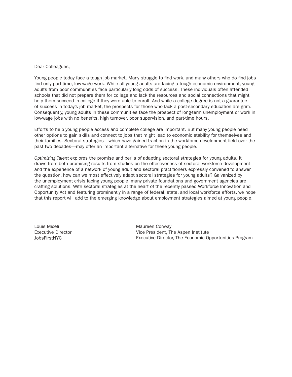Dear Colleagues,

Young people today face a tough job market. Many struggle to find work, and many others who do find jobs find only part-time, low-wage work. While all young adults are facing a tough economic environment, young adults from poor communities face particularly long odds of success. These individuals often attended schools that did not prepare them for college and lack the resources and social connections that might help them succeed in college if they were able to enroll. And while a college degree is not a guarantee of success in today's job market, the prospects for those who lack a post-secondary education are grim. Consequently, young adults in these communities face the prospect of long-term unemployment or work in low-wage jobs with no benefits, high turnover, poor supervision, and part-time hours.

Efforts to help young people access and complete college are important. But many young people need other options to gain skills and connect to jobs that might lead to economic stability for themselves and their families. Sectoral strategies—which have gained traction in the workforce development field over the past two decades—may offer an important alternative for these young people.

*Optimizing Talent* explores the promise and perils of adapting sectoral strategies for young adults. It draws from both promising results from studies on the effectiveness of sectoral workforce development and the experience of a network of young adult and sectoral practitioners expressly convened to answer the question, how can we most effectively adapt sectoral strategies for young adults? Galvanized by the unemployment crisis facing young people, many private foundations and government agencies are crafting solutions. With sectoral strategies at the heart of the recently passed Workforce Innovation and Opportunity Act and featuring prominently in a range of federal, state, and local workforce efforts, we hope that this report will add to the emerging knowledge about employment strategies aimed at young people.

Louis Miceli Executive Director JobsFirstNYC

Maureen Conway Vice President, The Aspen Institute Executive Director, The Economic Opportunities Program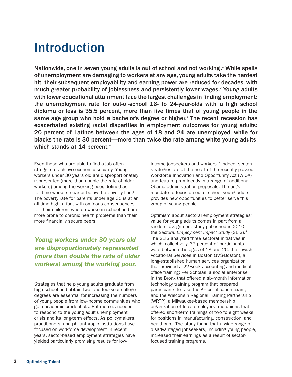# Introduction

Nationwide, one in seven young adults is out of school and not working.<sup>1</sup> While spells of unemployment are damaging to workers at any age, young adults take the hardest hit: their subsequent employability and earning power are reduced for decades, with much greater probability of joblessness and persistently lower wages. $2$  Young adults with lower educational attainment face the largest challenges in finding employment: the unemployment rate for out-of-school 16- to 24-year-olds with a high school diploma or less is 35.5 percent, more than five times that of young people in the same age group who hold a bachelor's degree or higher.<sup>3</sup> The recent recession has exacerbated existing racial disparities in employment outcomes for young adults: 20 percent of Latinos between the ages of 18 and 24 are unemployed, while for blacks the rate is 30 percent—more than twice the rate among white young adults, which stands at 14 percent.<sup>4</sup>

Even those who are able to find a job often struggle to achieve economic security. Young workers under 30 years old are disproportionately represented (more than double the rate of older workers) among the working poor, defined as full-time workers near or below the poverty line.<sup>5</sup> The poverty rate for parents under age 30 is at an all-time high, a fact with ominous consequences for their children, who do worse in school and are more prone to chronic health problems than their more financially secure peers.<sup>6</sup>

*Young workers under 30 years old are disproportionately represented (more than double the rate of older workers) among the working poor.*

Strategies that help young adults graduate from high school and obtain two- and four-year college degrees are essential for increasing the numbers of young people from low-income communities who gain academic credentials. But more is needed to respond to the young adult unemployment crisis and its long-term effects. As policymakers, practitioners, and philanthropic institutions have focused on workforce development in recent years, sector-based employment strategies have yielded particularly promising results for lowincome jobseekers and workers.<sup>7</sup> Indeed, sectoral strategies are at the heart of the recently passed Workforce Innovation and Opportunity Act (WIOA) and feature prominently in a range of additional Obama administration proposals. The act's mandate to focus on out-of-school young adults provides new opportunities to better serve this group of young people.

Optimism about sectoral employment strategies' value for young adults comes in part from a random assignment study published in 2010: the *Sectoral Employment Impact Study* (SEIS).8 The SEIS analyzed three sectoral initiatives in which, collectively, 37 percent of participants were between the ages of 18 and 26: the Jewish Vocational Services in Boston (JVS-Boston), a long-established human services organization that provided a 22-week accounting and medical office training; Per Scholas, a social enterprise in the Bronx that offered a six-month information technology training program that prepared participants to take the A+ certification exam; and the Wisconsin Regional Training Partnership (WRTP), a Milwaukee-based membership organization of local employers and unions that offered short-term trainings of two to eight weeks for positions in manufacturing, construction, and healthcare. The study found that a wide range of disadvantaged jobseekers, including young people, increased their earnings as a result of sectorfocused training programs.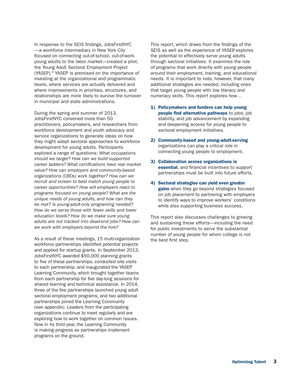In response to the SEIS findings, JobsFirstNYC —a workforce intermediary in New York City focused on connecting out-of-school, out-of-work young adults to the labor market—created a pilot, the Young Adult Sectoral Employment Project (YASEP).9 YASEP is premised on the importance of investing at the organizational and programmatic levels, where services are actually delivered and where improvements in priorities, structures, and relationships are more likely to survive the turnover in municipal and state administrations.

During the spring and summer of 2013, JobsFirstNYC convened more than 50 practitioners, policymakers, and researchers from workforce development and youth advocacy and service organizations to generate ideas on how they might adapt sectoral approaches to workforce development for young adults. Participants explored a range of questions: *What occupations should we target? How can we build supported career ladders? What certifications have real market value? How can employers and community-based organizations (CBOs) work together? How can we recruit and screen to best match young people to career opportunities? How will employers react to programs focused on young people? What are the unique needs of young adults, and how can they be met? Is young-adult-only programing needed? How do we serve those with fewer skills and lower education levels? How do we make sure young adults are not tracked into dead-end jobs? How can we work with employers beyond the hire?*

As a result of these meetings, 15 multi-organization workforce partnerships identified potential projects and applied for startup grants. In September 2013, JobsFirstNYC awarded \$50,000 planning grants to five of these partnerships, conducted site visits to each partnership, and inaugurated the YASEP Learning Community, which brought together teams from each partnership for five day-long sessions for shared learning and technical assistance. In 2014, three of the five partnerships launched young adult sectoral employment programs, and two additional partnerships joined the Learning Community (see appendix). Leaders from the participating organizations continue to meet regularly and are exploring how to work together on common issues. Now in its third year, the Learning Community is making progress as partnerships implement programs on the ground.

This report, which draws from the findings of the SEIS as well as the experience of YASEP, explores the potential to effectively serve young adults through sectoral initiatives. It examines the role of programs that work directly with young people around their employment, training, and educational needs. It is important to note, however, that many additional strategies are needed, including ones that target young people with low literacy and numeracy skills. This report explores how…

- 1) Policymakers and funders can help young people find alternative pathways to jobs, job stability, and job advancement by expanding and deepening access for young people to sectoral employment initiatives.
- 2) Community-based and young-adult-serving organizations can play a critical role in connecting young people to employment.
- 3) Collaboration across organizations is essential, and financial incentives to support partnerships must be built into future efforts.
- 4) Sectoral strategies can yield even greater gains when they go beyond strategies focused on job placement to partnering with employers to identify ways to improve workers' conditions while also supporting business success.

This report also discusses challenges to growing and sustaining these efforts—including the need for public investments to serve the substantial number of young people for whom college is not the best first step.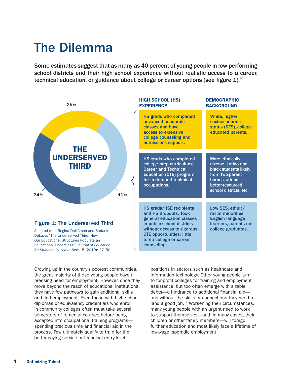# The Dilemma

Some estimates suggest that as many as 40 percent of young people in low-performing school districts end their high school experience without realistic access to a career, technical education, or guidance about college or career options (see figure 1).<sup>10</sup>



#### Figure 1: The Underserved Third

Adapted from Regina Deli-Amen and Stefanie DeLuca, "The Underserved Third: How Our Educational Structures Populate an Educational Underclass," *Journal of Education for Students Placed at Risk* 15 (2010): 27–50 HIGH SCHOOL (HS) **EXPERIENCE** 

| <b>HS grads who completed</b><br>advanced academic<br>classes and have<br>access to extensive<br>college counseling and<br>admissions support.                                                                          | White, higher<br>socioeconomic<br>status (SES), college-<br>educated parents.                                                                     |
|-------------------------------------------------------------------------------------------------------------------------------------------------------------------------------------------------------------------------|---------------------------------------------------------------------------------------------------------------------------------------------------|
| HS grads who completed<br>college prep curriculum/<br><b>Career and Technical</b><br><b>Education (CTE) program</b><br>for in-demand technical<br>occupations.                                                          | More ethnically<br>diverse. Latino and<br>black students likely<br>from two-parent<br>homes, attend<br>better-resourced<br>school districts, etc. |
| HS grads/HSE recipients<br>and HS dropouts. Took<br>general education classes<br>in public school districts<br>without access to rigorous<br><b>CTE opportunities; little</b><br>to no college or career<br>counseling. | Low SES, ethnic/<br>racial minorities,<br><b>English language</b><br>learners, parents not<br>college graduates.                                  |

**DEMOGRAPHIC** 

Growing up in the country's poorest communities, the great majority of these young people have a pressing need for employment. However, once they move beyond the reach of educational institutions, they have few pathways to gain additional skills and find employment. Even those with high school diplomas or equivalency credentials who enroll in community colleges often must take several semesters of remedial courses before being accepted into occupational training programs spending precious time and financial aid in the process. Few ultimately qualify to train for the better-paying service or technical entry-level

positions in sectors such as healthcare and information technology. Other young people turn to for-profit colleges for training and employment assistance, but too often emerge with sizable debts—a hindrance to additional financial aid and without the skills or connections they need to land a good job.<sup>11</sup> Worsening their circumstances, many young people with an urgent need to work to support themselves—and, in many cases, their children or other family members—will forego further education and most likely face a lifetime of low-wage, sporadic employment.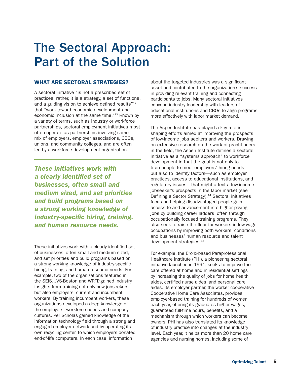# The Sectoral Approach: Part of the Solution

### WHAT ARE SECTORAL STRATEGIES?

A sectoral initiative "is not a prescribed set of practices; rather, it is a strategy, a set of functions, and a guiding vision to achieve defined results"<sup>12</sup> that "work toward economic development and economic inclusion at the same time."13 Known by a variety of terms, such as industry or workforce partnerships, sectoral employment initiatives most often operate as partnerships involving some mix of employers, employer associations, CBOs, unions, and community colleges, and are often led by a workforce development organization.

*These initiatives work with a clearly identified set of businesses, often small and medium sized, and set priorities and build programs based on a strong working knowledge of industry-specific hiring, training, and human resource needs.* 

These initiatives work with a clearly identified set of businesses, often small and medium sized, and set priorities and build programs based on a strong working knowledge of industry-specific hiring, training, and human resource needs. For example, two of the organizations featured in the SEIS, JVS-Boston and WRTP, gained industry insights from training not only new jobseekers but also employers' current and incumbent workers. By training incumbent workers, these organizations developed a deep knowledge of the employers' workforce needs and company cultures. Per Scholas gained knowledge of the information technology field through a strong and engaged employer network and by operating its own recycling center, to which employers donated end-of-life computers. In each case, information

about the targeted industries was a significant asset and contributed to the organization's success in providing relevant training and connecting participants to jobs. Many sectoral initiatives convene industry leadership with leaders of educational institutions and CBOs to align programs more effectively with labor market demand.

The Aspen Institute has played a key role in shaping efforts aimed at improving the prospects of low-income jobs seekers and workers. Drawing on extensive research on the work of practitioners in the field, the Aspen Institute defines a sectoral initiative as a "systems approach" to workforce development in that the goal is not only to train people to meet employers' hiring needs but also to identify factors—such as employer practices, access to educational institutions, and regulatory issues—that might affect a low-income jobseeker's prospects in the labor market (see Defining a Sector Strategy).<sup>14</sup> Sectoral initiatives focus on helping disadvantaged people gain access to and advancement into higher paying jobs by building career ladders, often through occupationally focused training programs. They also seek to raise the floor for workers in low-wage occupations by improving both workers' conditions and businesses' human resource and talent development strategies.15

For example, the Bronx-based Paraprofessional Healthcare Institute (PHI), a pioneering sectoral initiative launched in 1991, seeks to improve the care offered at home and in residential settings by increasing the quality of jobs for home health aides, certified nurse aides, and personal care aides. Its employer partner, the worker cooperative Cooperative Home Care Associates, provides employer-based training for hundreds of women each year, offering its graduates higher wages, guaranteed full-time hours, benefits, and a mechanism through which workers can become owners. PHI has also translated its knowledge of industry practice into changes at the industry level. Each year, it helps more than 20 home care agencies and nursing homes, including some of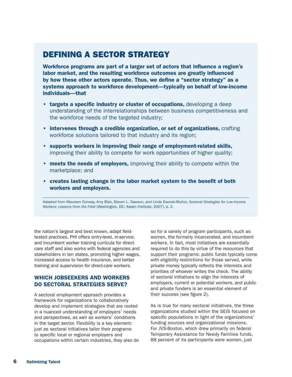# DEFINING A SECTOR STRATEGY

Workforce programs are part of a larger set of actors that influence a region's labor market, and the resulting workforce outcomes are greatly influenced by how these other actors operate. Thus, we define a "sector strategy" as a systems approach to workforce development—typically on behalf of low-income individuals—that

- targets a specific industry or cluster of occupations, developing a deep understanding of the interrelationships between business competitiveness and the workforce needs of the targeted industry;
- intervenes through a credible organization, or set of organizations, crafting workforce solutions tailored to that industry and its region;
- supports workers in improving their range of employment-related skills, improving their ability to compete for work opportunities of higher quality;
- meets the needs of employers, improving their ability to compete within the marketplace; and
- creates lasting change in the labor market system to the benefit of both workers and employers.

Adapted from Maureen Conway, Amy Blair, Steven L. Dawson, and Linda Dworak-Muñoz, *Sectoral Strategies for Low-Income Workers: Lessons from the Field* (Washington, DC: Aspen Institute, 2007), p. 2.

the nation's largest and best known, adapt fieldtested practices. PHI offers entry-level, in-service, and incumbent worker training curricula for directcare staff and also works with federal agencies and stakeholders in ten states, promoting higher wages, increased access to health insurance, and better training and supervision for direct-care workers.

### WHICH JOBSEEKERS AND WORKERS DO SECTORAL STRATEGIES SERVE?

A sectoral employment approach provides a framework for organizations to collaboratively develop and implement strategies that are rooted in a nuanced understanding of employers' needs and perspectives, as well as workers' conditions in the target sector. Flexibility is a key element: just as sectoral initiatives tailor their programs to specific local or regional employers and occupations within certain industries, they also do so for a variety of program participants, such as women, the formerly incarcerated, and incumbent workers. In fact, most initiatives are essentially required to do this by virtue of the resources that support their programs: public funds typically come with eligibility restrictions for those served, while private money typically reflects the interests and priorities of whoever writes the check. The ability of sectoral initiatives to align the interests of employers, current or potential workers, and public and private funders is an essential element of their success (see figure 2).

As is true for many sectoral initiatives, the three organizations studied within the SEIS focused on specific populations in light of the organizations' funding sources and organizational missions. For JVS-Boston, which drew primarily on federal Temporary Assistance for Needy Families funds, 88 percent of its participants were women, just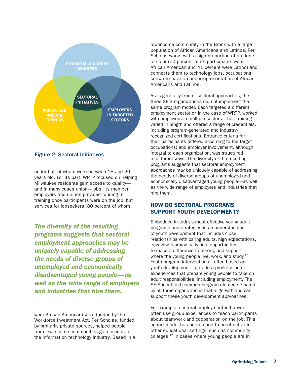

### Figure 2: Sectoral Initiatives

under half of whom were between 18 and 26 years old. For its part, WRTP focused on helping Milwaukee residents gain access to quality and in many cases union—jobs. Its member employers and unions provided funding for training once participants were on the job, but services for jobseekers (80 percent of whom

*The diversity of the resulting programs suggests that sectoral employment approaches may be uniquely capable of addressing the needs of diverse groups of unemployed and economically disadvantaged young people—as well as the wide range of employers and industries that hire them.*

were African American) were funded by the Workforce Investment Act. Per Scholas, funded by primarily private sources, helped people from low-income communities gain access to the information technology industry. Based in a low-income community in the Bronx with a large population of African Americans and Latinos, Per Scholas works with a high proportion of students of color (50 percent of its participants were African American and 41 percent were Latino) and connects them to technology jobs, occupations known to have an underrepresentation of African Americans and Latinos.

As is generally true of sectoral approaches, the three SEIS organizations did not implement the same program model. Each targeted a different employment sector or, in the case of WRTP, worked with employers in multiple sectors. Their training varied in length and offered a range of credentials, including program-generated and industryrecognized certifications. Entrance criteria for their participants differed according to the target occupations; and employer involvement, although integral to each organization, was structured in different ways. The diversity of the resulting programs suggests that sectoral employment approaches may be uniquely capable of addressing the needs of diverse groups of unemployed and economically disadvantaged young people—as well as the wide range of employers and industries that hire them.

### HOW DO SECTORAL PROGRAMS SUPPORT YOUTH DEVELOPMENT?

Embedded in today's most effective young adult programs and strategies is an understanding of youth development that includes close relationships with caring adults, high expectations, engaging learning activities, opportunities to make a difference to others, and support where the young people live, work, and study.<sup>16</sup> Youth program interventions—often based on youth development—provide a progression of experiences that prepare young people to take on adult responsibilities, including employment. The SEIS identified common program elements shared by all three organizations that align with and can support these youth development approaches.

For example, sectoral employment initiatives often use group experiences to teach participants about teamwork and cooperation on the job. This cohort model has been found to be effective in other educational settings, such as community colleges.17 In cases where young people are in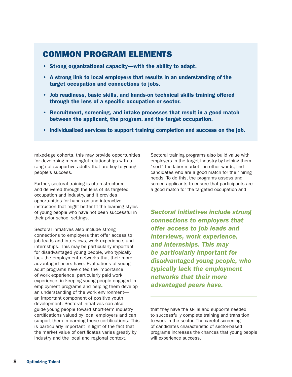# COMMON PROGRAM ELEMENTS

- Strong organizational capacity—with the ability to adapt.
- A strong link to local employers that results in an understanding of the target occupation and connections to jobs.
- Job readiness, basic skills, and hands-on technical skills training offered through the lens of a specific occupation or sector.
- Recruitment, screening, and intake processes that result in a good match between the applicant, the program, and the target occupation.
- Individualized services to support training completion and success on the job.

mixed-age cohorts, this may provide opportunities for developing meaningful relationships with a range of supportive adults that are key to young people's success.

Further, sectoral training is often structured and delivered through the lens of its targeted occupation and industry, and it provides opportunities for hands-on and interactive instruction that might better fit the learning styles of young people who have not been successful in their prior school settings.

Sectoral initiatives also include strong connections to employers that offer access to job leads and interviews, work experience, and internships. This may be particularly important for disadvantaged young people, who typically lack the employment networks that their more advantaged peers have. Evaluations of young adult programs have cited the importance of work experience, particularly paid work experience, in keeping young people engaged in employment programs and helping them develop an understanding of the work environment an important component of positive youth development. Sectoral initiatives can also guide young people toward short-term industry certifications valued by local employers and can support them in earning these certifications. This is particularly important in light of the fact that the market value of certificates varies greatly by industry and the local and regional context.

Sectoral training programs also build value with employers in the target industry by helping them "sort" the labor market—in other words, find candidates who are a good match for their hiring needs. To do this, the programs assess and screen applicants to ensure that participants are a good match for the targeted occupation and

*Sectoral initiatives include strong connections to employers that offer access to job leads and interviews, work experience, and internships. This may be particularly important for disadvantaged young people, who typically lack the employment networks that their more advantaged peers have.* 

that they have the skills and supports needed to successfully complete training and transition to work in the sector. The careful screening of candidates characteristic of sector-based programs increases the chances that young people will experience success.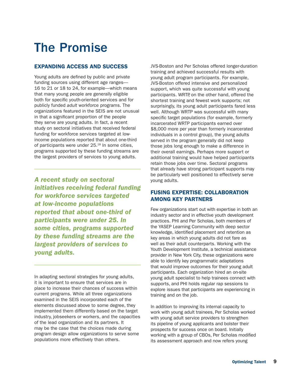# The Promise

## EXPANDING ACCESS AND SUCCESS

Young adults are defined by public and private funding sources using different age ranges— 16 to 21 or 18 to 24, for example—which means that many young people are generally eligible both for specific youth-oriented services and for publicly funded *adult* workforce programs. The organizations featured in the SEIS are not unusual in that a significant proportion of the people they serve are young adults. In fact, a recent study on sectoral initiatives that received federal funding for workforce services targeted at lowincome populations reported that about one-third of participants were under 25.18 In some cities, programs supported by these funding streams are the largest providers of services to young adults.

*A recent study on sectoral initiatives receiving federal funding for workforce services targeted at low-income populations reported that about one-third of participants were under 25. In some cities, programs supported by these funding streams are the largest providers of services to young adults.*

In adapting sectoral strategies for young adults, it is important to ensure that services are in place to increase their chances of success within current programs. While all three organizations examined in the SEIS incorporated each of the elements discussed above to some degree, they implemented them differently based on the target industry, jobseekers or workers, and the capacities of the lead organization and its partners. It may be the case that the choices made during program design allow organizations to serve some populations more effectively than others.

JVS-Boston and Per Scholas offered longer-duration training and achieved successful results with young adult program participants. For example, JVS-Boston offered intensive and personalized support, which was quite successful with young participants. WRTP, on the other hand, offered the shortest training and fewest work supports; not surprisingly, its young adult participants fared less well. Although WRTP was successful with many specific target populations (for example, formerly incarcerated WRTP participants earned over \$8,000 more per year than formerly incarcerated individuals in a control group), the young adults served in the program generally did not keep those jobs long enough to make a difference in their overall earnings. Perhaps more support or additional training would have helped participants retain those jobs over time. Sectoral programs that already have strong participant supports may be particularly well positioned to effectively serve young adults.

### FUSING EXPERTISE: COLLABORATION AMONG KEY PARTNERS

Few organizations start out with expertise in both an industry sector and in effective youth development practices. PHI and Per Scholas, both members of the YASEP Learning Community with deep sector knowledge, identified placement and retention as key areas in which young adults did not fare as well as their adult counterparts. Working with the Youth Development Institute, a technical assistance provider in New York City, these organizations were able to identify key programmatic adaptations that would improve outcomes for their young adult participants. Each organization hired an on-site young adult specialist to help trainees connect with supports, and PHI holds regular rap sessions to explore issues that participants are experiencing in training and on the job.

In addition to improving its internal capacity to work with young adult trainees, Per Scholas worked with young adult service providers to strengthen its pipeline of young applicants and bolster their prospects for success once on board. Initially working with a group of CBOs, Per Scholas modified its assessment approach and now refers young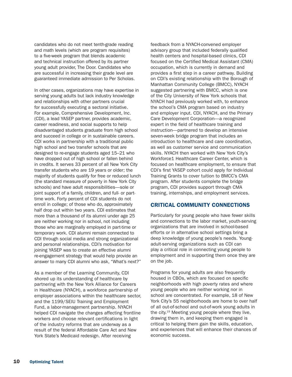candidates who do not meet tenth-grade reading and math levels (which are program requisites) to a five-week program that blends academic and technical instruction offered by its partner young adult provider, The Door. Candidates who are successful in increasing their grade level are guaranteed immediate admission to Per Scholas.

In other cases, organizations may have expertise in serving young adults but lack industry knowledge and relationships with other partners crucial for successfully executing a sectoral initiative. For example, Comprehensive Development, Inc. (CDI), a lead YASEP partner, provides academic, career readiness, and social supports to help disadvantaged students graduate from high school and succeed in college or in sustainable careers. CDI works in partnership with a traditional public high school and two transfer schools that are designed to re-engage students aged 15–21 who have dropped out of high school or fallen behind in credits. It serves 33 percent of all New York City transfer students who are 19 years or older; the majority of students qualify for free or reduced lunch (the standard measure of poverty in New York City schools) and have adult responsibilities—sole or joint support of a family, children, and full- or parttime work. Forty percent of CDI students do not enroll in college; of those who do, approximately half drop out within two years. CDI estimates that more than a thousand of its alumni under age 25 are neither working nor in school, not including those who are marginally employed in part-time or temporary work. CDI alumni remain connected to CDI through social media and strong organizational and personal relationships. CDI's motivation for joining YASEP was to create an effective alumni re-engagement strategy that would help provide an answer to many CDI alumni who ask, "What's next?"

As a member of the Learning Community, CDI shored up its understanding of healthcare by partnering with the New York Alliance for Careers in Healthcare (NYACH), a workforce partnership of employer associations within the healthcare sector, and the 1199/SEIU Training and Employment Fund, a labor-management partnership. NYACH helped CDI navigate the changes affecting frontline workers and choose relevant certifications in light of the industry reforms that are underway as a result of the federal Affordable Care Act and New York State's Medicaid redesign. After receiving

feedback from a NYACH-convened employer advisory group that included federally qualified health centers and hospital-based clinics, CDI focused on the Certified Medical Assistant (CMA) occupation, which is currently in demand and provides a first step in a career pathway. Building on CDI's existing relationship with the Borough of Manhattan Community College (BMCC), NYACH suggested partnering with BMCC, which is one of the City University of New York schools that NYACH had previously worked with, to enhance the school's CMA program based on industry and employer input. CDI, NYACH, and the Primary Care Development Corporation—a recognized expert in the field of healthcare training and instruction—partnered to develop an intensive seven-week bridge program that includes an introduction to healthcare and care coordination, as well as customer service and communication skills. NYACH then worked with New York City's Workforce1 Healthcare Career Center, which is focused on healthcare employment, to ensure that CDI's first YASEP cohort could apply for Individual Training Grants to cover tuition to BMCC's CMA program. After students complete the bridge program, CDI provides support through CMA training, internships, and employment services.

#### CRITICAL COMMUNITY CONNECTIONS

Particularly for young people who have fewer skills and connections to the labor market, youth-serving organizations that are involved in school-based efforts or in alternative school settings bring a deep knowledge of young people's needs. Youngadult-serving organizations such as CDI can play a critical role in connecting young people to employment and in supporting them once they are on the job.

Programs for young adults are also frequently housed in CBOs, which are focused on specific neighborhoods with high poverty rates and where young people who are neither working nor in school are concentrated. For example, 18 of New York City's 55 neighborhoods are home to over half of all out-of-school and out-of-work young adults in the city.<sup>19</sup> Meeting young people where they live, drawing them in, and keeping them engaged is critical to helping them gain the skills, education, and experiences that will enhance their chances of economic success.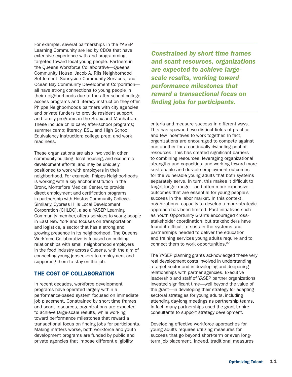For example, several partnerships in the YASEP Learning Community are led by CBOs that have extensive experience with and programming targeted toward local young people. Partners in the Queens Workforce Collaborative—Queens Community House, Jacob A. Riis Neighborhood Settlement, Sunnyside Community Services, and Ocean Bay Community Development Corporation all have strong connections to young people in their neighborhoods due to the after-school college access programs and literacy instruction they offer. Phipps Neighborhoods partners with city agencies and private funders to provide resident support and family programs in the Bronx and Manhattan. These include child care; after-school programs; summer camp; literacy, ESL, and High School Equivalency instruction; college prep; and work readiness.

These organizations are also involved in other community-building, local housing, and economic development efforts, and may be uniquely positioned to work with employers in their neighborhood. For example, Phipps Neighborhoods is working with a key anchor institution in the Bronx, Montefiore Medical Center, to provide direct employment and certification programs in partnership with Hostos Community College. Similarly, Cypress Hills Local Development Corporation (CHLDC), also a YASEP Learning Community member, offers services to young people in East New York and focuses on transportation and logistics, a sector that has a strong and growing presence in its neighborhood. The Queens Workforce Collaborative is focused on building relationships with small neighborhood employers in the food industry across Queens, with the aim of connecting young jobseekers to employment and supporting them to stay on the job.

### THE COST OF COLLABORATION

In recent decades, workforce development programs have operated largely within a performance-based system focused on immediate job placement. Constrained by short time frames and scant resources, organizations are expected to achieve large-scale results, while working toward performance milestones that reward a transactional focus on finding jobs for participants. Making matters worse, both workforce and youth development programs are funded by public and private agencies that impose different eligibility

*Constrained by short time frames and scant resources, organizations are expected to achieve largescale results, working toward performance milestones that reward a transactional focus on finding jobs for participants.*

criteria and measure success in different ways. This has spawned two distinct fields of practice and few incentives to work together. In fact, organizations are encouraged to compete against one another for a continually dwindling pool of resources. This has created significant barriers to combining resources, leveraging organizational strengths and capacities, and working toward more sustainable and durable employment outcomes for the vulnerable young adults that both systems separately serve. In turn, this makes it difficult to target longer-range—and often more expensive outcomes that are essential for young people's success in the labor market. In this context, organizations' capacity to develop a more strategic approach has been limited. Past initiatives such as Youth Opportunity Grants encouraged crossstakeholder coordination, but stakeholders have found it difficult to sustain the systems and partnerships needed to deliver the education and training services young adults require and to connect them to work opportunities.<sup>20</sup>

The YASEP planning grants acknowledged these very real development costs involved in understanding a target sector and in developing and deepening relationships with partner agencies. Executive leadership and staff of YASEP partner organizations invested significant time—well beyond the value of the grant—in developing their strategy for adapting sectoral strategies for young adults, including attending day-long meetings as partnership teams. In fact, many partnerships used the grant to hire consultants to support strategy development.

Developing effective workforce approaches for young adults requires utilizing measures for success that go beyond short-term or even longterm job placement. Indeed, traditional measures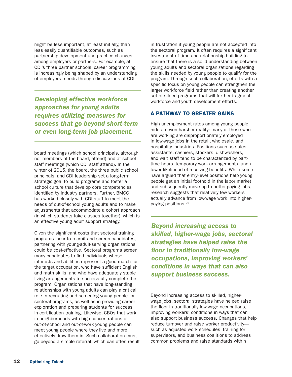might be less important, at least initially, than less easily quantifiable outcomes, such as partnership development and practice changes among employers or partners. For example, at CDI's three partner schools, career programming is increasingly being shaped by an understanding of employers' needs through discussions at CDI

*Developing effective workforce approaches for young adults requires utilizing measures for success that go beyond short-term or even long-term job placement.* 

board meetings (which school principals, although not members of the board, attend) and at school staff meetings (which CDI staff attend). In the winter of 2015, the board, the three public school principals, and CDI leadership set a long-term strategic goal to build programs and foster a school culture that develop core competencies identified by industry partners. Further, BMCC has worked closely with CDI staff to meet the needs of out-of-school young adults and to make adjustments that accommodate a cohort approach (in which students take classes together), which is an effective young adult support strategy.

Given the significant costs that sectoral training programs incur to recruit and screen candidates, partnering with young-adult-serving organizations could be cost-effective. Sectoral programs screen many candidates to find individuals whose interests and abilities represent a good match for the target occupation, who have sufficient English and math skills, and who have adequately stable living arrangements to successfully complete the program. Organizations that have long-standing relationships with young adults can play a critical role in recruiting and screening young people for sectoral programs, as well as in providing career exploration and preparing students for success in certification training. Likewise, CBOs that work in neighborhoods with high concentrations of out-of-school and out-of-work young people can meet young people where they live and more effectively draw them in. Such collaboration must go beyond a simple referral, which can often result in frustration if young people are not accepted into the sectoral program. It often requires a significant investment of time and relationship building to ensure that there is a solid understanding between young adults and sectoral organizations regarding the skills needed by young people to qualify for the program. Through such collaboration, efforts with a specific focus on young people can strengthen the larger workforce field rather than creating another set of siloed programs that will further fragment workforce and youth development efforts.

### A PATHWAY TO GREATER GAINS

High unemployment rates among young people hide an even harsher reality: many of those who are working are disproportionately employed in low-wage jobs in the retail, wholesale, and hospitality industries. Positions such as sales assistants, cashiers, stockers, dishwashers, and wait staff tend to be characterized by parttime hours, temporary work arrangements, and a lower likelihood of receiving benefits. While some have argued that entry-level positions help young people get an initial foothold in the labor market and subsequently move up to better-paying jobs, research suggests that relatively few workers actually advance from low-wage work into higherpaying positions.<sup>21</sup>

*Beyond increasing access to skilled, higher-wage jobs, sectoral strategies have helped raise the floor in traditionally low-wage occupations, improving workers' conditions in ways that can also support business success.* 

Beyond increasing access to skilled, higherwage jobs, sectoral strategies have helped raise the floor in traditionally low-wage occupations, improving workers' conditions in ways that can also support business success. Changes that help reduce turnover and raise worker productivity such as adjusted work schedules, training for supervisors, and business coalitions to address common problems and raise standards within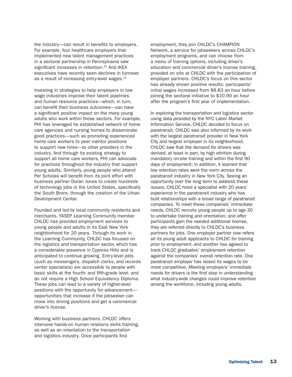the industry—can result in benefits to employers. For example, four healthcare employers that implemented new talent management practices in a sectoral partnership in Pennsylvania saw significant increases in retention.<sup>22</sup> And IKEA executives have recently seen declines in turnover as a result of increasing entry-level wages.<sup>23</sup>

Investing in strategies to help employers in lowwage industries improve their talent pipelines and human resource practices—which, in turn, can benefit their business outcomes—can have a significant positive impact on the many young adults who work within those sectors. For example, PHI has leveraged its established network of home care agencies and nursing homes to disseminate good practices—such as promoting experienced home care workers to peer mentor positions to support new hires—to other providers in the industry. And through its existing strategy to support all home care workers, PHI can advocate for practices throughout the industry that support young adults. Similarly, young people who attend Per Scholas will benefit from its joint effort with business partner Doran Jones to create hundreds of technology jobs in the United States, specifically the South Bronx, through the creation of the Urban Development Center.

Founded and led by local community residents and merchants, YASEP Learning Community member CHLDC has provided employment services to young people and adults in its East New York neighborhood for 20 years. Through its work in the Learning Community, CHLDC has focused on the logistics and transportation sector, which has a considerable presence in Cypress Hills and is anticipated to continue growing. Entry-level jobs (such as messengers, dispatch clerks, and records center specialists) are accessible to people with basic skills at the fourth- and fifth-grade level, and do not require a High School Equivalency Diploma. These jobs can lead to a variety of higher-level positions with the opportunity for advancement opportunities that increase if the jobseeker can move into driving positions and get a commercial driver's license.

Working with business partners, CHLDC offers intensive hands-on human relations skills training, as well as an orientation to the transportation and logistics industry. Once participants find

employment, they join CHLDC's CHAMPION Network, a service for jobseekers across CHLDC's employment programs, and can choose from a menu of training options, including driver's education and commercial driver's license training, provided on site at CHLDC with the participation of employer partners. CHLDC's focus on this sector has already shown positive results: participants' initial wages increased from \$8.83 an hour before joining the sectoral initiative to \$10.90 an hour after the program's first year of implementation.

In exploring the transportation and logistics sector using data provided by the NYC Labor Market Information Service, CHLDC decided to focus on paratransit. CHLDC was also informed by its work with the largest paratransit provider in New York City and largest employer in its neighborhood. CHLDC saw that the demand for drivers was derived, at least in part, by high attrition during mandatory on-site training and within the first 90 days of employment; in addition, it learned that low retention rates were the norm across the paratransit industry in New York City. Seeing an opportunity over the long term to address these issues, CHLDC hired a specialist with 20 years' experience in the paratransit industry who has built relationships with a broad range of paratransit companies. To meet these companies' immediate needs, CHLDC recruits young people up to age 30 to undertake training and orientation; and after participants gain the needed additional license, they are referred directly to CHLDC's business partners for jobs. One employer partner now refers all its young adult applicants to CHLDC for training prior to employment, and another has agreed to track CHLDC graduates' employment retention against the companies' overall retention rate. One paratransit employer has raised its wages to be more competitive. Meeting employers' immediate needs for drivers is the first step in understanding what industry-wide changes could improve retention among the workforce, including young adults.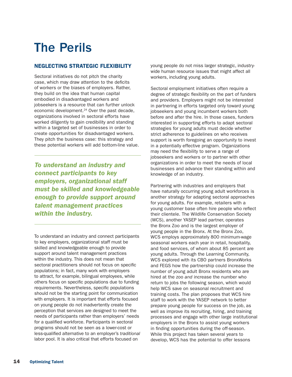# The Perils

## NEGLECTING STRATEGIC FLEXIBILITY

Sectoral initiatives do not pitch the charity case, which may draw attention to the deficits of workers or the biases of employers. Rather, they build on the idea that human capital embodied in disadvantaged workers and jobseekers is a resource that can further unlock economic development.<sup>24</sup> Over the past decade, organizations involved in sectoral efforts have worked diligently to gain credibility and standing within a targeted set of businesses in order to create opportunities for disadvantaged workers. They pitch the business case: this strategy and these potential workers will add bottom-line value.

*To understand an industry and connect participants to key employers, organizational staff must be skilled and knowledgeable enough to provide support around talent management practices within the industry.* 

To understand an industry and connect participants to key employers, organizational staff must be skilled and knowledgeable enough to provide support around talent management practices within the industry. This does not mean that sectoral practitioners should not focus on specific populations; in fact, many work with employers to attract, for example, bilingual employees, while others focus on specific populations due to funding requirements. Nevertheless, specific populations should not be the starting point for communication with employers. It is important that efforts focused on young people do not inadvertently create the perception that services are designed to meet the needs of participants rather than employers' needs for a qualified workforce. Participants in sectoral programs should not be seen as a lower-cost or less-qualified alternative to an employer's *traditional* labor pool. It is also critical that efforts focused on

young people do not miss larger strategic, industrywide human resource issues that might affect all workers, including young adults.

Sectoral employment initiatives often require a degree of strategic flexibility on the part of funders and providers. Employers might not be interested in partnering in efforts targeted only toward young jobseekers and young incumbent workers both before and after the hire. In those cases, funders interested in supporting efforts to adapt sectoral strategies for young adults must decide whether strict adherence to guidelines on who receives support is worth foregoing an opportunity to invest in a potentially effective program. Organizations may need the flexibility to serve a range of jobseekers and workers or to partner with other organizations in order to meet the needs of local businesses and advance their standing within and knowledge of an industry.

Partnering with industries and employers that have naturally occurring young adult workforces is another strategy for adapting sectoral approaches for young adults. For example, retailers with a young customer base often hire people who reflect their clientele. The Wildlife Conservation Society (WCS), another YASEP lead partner, operates the Bronx Zoo and is the largest employer of young people in the Bronx. At the Bronx Zoo, WCS employs approximately 800 minimum-wage seasonal workers each year in retail, hospitality, and food services, of whom about 85 percent are young adults. Through the Learning Community, WCS explored with its CBO partners BronxWorks and FEGS how the partnership could increase the number of young adult Bronx residents who are hired at the zoo *and* increase the number who return to jobs the following season, which would help WCS save on seasonal recruitment and training costs. The plan proposes that WCS hire staff to work with the YASEP network to better prepare young people for success on the job, as well as improve its recruiting, hiring, and training processes and engage with other large institutional employers in the Bronx to assist young workers in finding opportunities during the off-season. While this project has taken several years to develop, WCS has the potential to offer lessons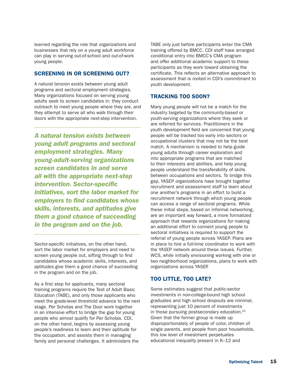learned regarding the role that organizations and businesses that rely on a young adult workforce can play in serving out-of-school and out-of-work young people.

### SCREENING IN OR SCREENING OUT?

A natural tension exists between young adult programs and sectoral employment strategies. Many organizations focused on serving young adults seek to screen candidates *in*: they conduct outreach to meet young people where they are, and they attempt to serve all who walk through their doors with the appropriate next-step intervention.

*A natural tension exists between young adult programs and sectoral employment strategies. Many young-adult-serving organizations screen candidates in and serve all with the appropriate next-step intervention. Sector-specific initiatives, sort the labor market for employers to find candidates whose skills, interests, and aptitudes give them a good chance of succeeding in the program and on the job.* 

Sector-specific initiatives, on the other hand, sort the labor market for employers and need to screen young people out, sifting through to find candidates whose academic skills, interests, and aptitudes give them a good chance of succeeding in the program and on the job.

As a first step for applicants, many sectoral training programs require the Test of Adult Basic Education (TABE), and only those applicants who meet the grade-level threshold advance to the next stage. Per Scholas and The Door work together in an intensive effort to bridge the gap for young people who *almost* qualify for Per Scholas. CDI, on the other hand, begins by assessing young people's readiness to learn and their aptitude for the occupation, and assists them in managing family and personal challenges. It administers the

TABE only just before participants enter the CMA training offered by BMCC. CDI staff have arranged conditional entry into BMCC's CMA program and offer additional academic support to these participants as they work toward obtaining the certificate. This reflects an alternative approach to assessment that is rooted in CDI's commitment to youth development.

### TRACKING TOO SOON?

Many young people will not be a match for the industry targeted by the community-based or youth-serving organizations where they seek or are referred for services. Practitioners in the youth development field are concerned that young people will be tracked too early into sectors or occupational clusters that may not be the best match. A mechanism is needed to help guide young adults through career exploration and into appropriate programs that are matched to their interests and abilities, and help young people understand the transferability of skills between occupations and sectors. To bridge this gap, YASEP organizations have brought together recruitment and assessment staff to learn about one another's programs in an effort to build a recruitment network through which young people can access a range of sectoral programs. While these initial steps, based on informal networking, are an important way forward, a more formalized approach that rewards organizations for making an additional effort to connect young people to sectoral initiatives is required to support the referral of young people across YASEP. Plans are in place to hire a full-time coordinator to work with the YASEP network around these issues. Further, WCS, while initially envisioning working with one or two neighborhood organizations, plans to work with organizations across YASEP.

### TOO LITTLE, TOO LATE?

Some estimates suggest that public-sector investments in non-college-bound high school graduates and high school dropouts are minimal, representing just 10 percent of investments in those pursuing postsecondary education.<sup>25</sup> Given that the former group is made up disproportionately of people of color, children of single parents, and people from poor households, this low level of investment perpetuates educational inequality present in K–12 and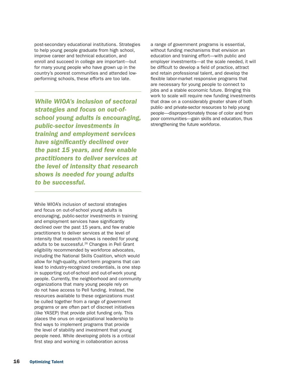post-secondary educational institutions. Strategies to help young people graduate from high school, improve career and technical education, and enroll and succeed in college are important—but for many young people who have grown up in the country's poorest communities and attended lowperforming schools, these efforts are too late.

*While WIOA's inclusion of sectoral strategies and focus on out-ofschool young adults is encouraging, public-sector investments in training and employment services have significantly declined over the past 15 years, and few enable practitioners to deliver services at the level of intensity that research shows is needed for young adults to be successful.* 

While WIOA's inclusion of sectoral strategies and focus on out-of-school young adults is encouraging, public-sector investments in training and employment services have significantly declined over the past 15 years, and few enable practitioners to deliver services at the level of intensity that research shows is needed for young adults to be successful.26 Changes in Pell Grant eligibility recommended by workforce advocates, including the National Skills Coalition, which would allow for high-quality, short-term programs that can lead to industry-recognized credentials, is one step in supporting out-of-school and out-of-work young people. Currently, the neighborhood and community organizations that many young people rely on do not have access to Pell funding. Instead, the resources available to these organizations must be culled together from a range of government programs or are often part of discreet initiatives (like YASEP) that provide pilot funding only. This places the onus on organizational leadership to find ways to implement programs that provide the level of stability and investment that young people need. While developing pilots is a critical first step and working in collaboration across

a range of government programs is essential, without funding mechanisms that envision an education and training effort—with public and employer investments—at the scale needed, it will be difficult to develop a field of practice, attract and retain professional talent, and develop the flexible labor-market responsive programs that are necessary for young people to connect to jobs and a stable economic future. Bringing this work to scale will require new funding investments that draw on a considerably greater share of both public- and private-sector resources to help young people—disproportionately those of color and from poor communities—gain skills and education, thus strengthening the future workforce.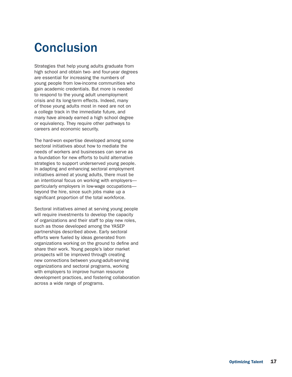# **Conclusion**

Strategies that help young adults graduate from high school and obtain two- and four-year degrees are essential for increasing the numbers of young people from low-income communities who gain academic credentials. But more is needed to respond to the young adult unemployment crisis and its long-term effects. Indeed, many of those young adults most in need are not on a college track in the immediate future, and many have already earned a high school degree or equivalency. They require other pathways to careers and economic security.

The hard-won expertise developed among some sectoral initiatives about how to mediate the needs of workers and businesses can serve as a foundation for new efforts to build alternative strategies to support underserved young people. In adapting and enhancing sectoral employment initiatives aimed at young adults, there must be an intentional focus on working with employers particularly employers in low-wage occupations beyond the hire, since such jobs make up a significant proportion of the total workforce.

Sectoral initiatives aimed at serving young people will require investments to develop the capacity of organizations and their staff to play new roles, such as those developed among the YASEP partnerships described above. Early sectoral efforts were fueled by ideas generated from organizations working on the ground to define and share their work. Young people's labor market prospects will be improved through creating new connections between young-adult-serving organizations and sectoral programs, working with employers to improve human resource development practices, and fostering collaboration across a wide range of programs.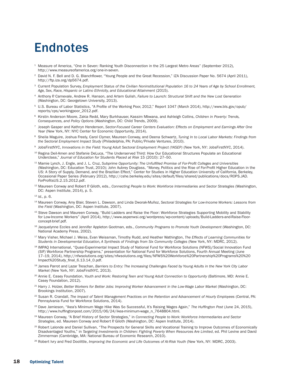# Endnotes

- <sup>1</sup> Measure of America, "One in Seven: Ranking Youth Disconnection in the 25 Largest Metro Areas" (September 2012), http://www.measureofamerica.org/one-in-seven.
- <sup>2</sup> David N. F. Bell and D. G. Blanchflower, "Young People and the Great Recession," IZA Discussion Paper No. 5674 (April 2011), http://ftp.iza.org/dp5674.pdf.
- 3 Current Population Survey, *Employment Status of the Civilian Noninstitutional Population 16 to 24 Years of Age by School Enrollment, Age, Sex, Race, Hispanic or Latino Ethnicity, and Educational Attainment* (2015).
- 4 Anthony P. Carnevale, Andrew R. Hanson, and Artem Gulish, *Failure to Launch: Structural Shift and the New Lost Generation* (Washington, DC: Georgetown University, 2013).
- 5 U.S. Bureau of Labor Statistics, "A Profile of the Working Poor, 2012," Report 1047 (March 2014), http://www.bls.gov/opub/ reports/cps/workingpoor\_2012.pdf.
- 6 Kirstin Anderson Moore, Zakia Redd, Mary Burkhauser, Kassim Mbwana, and Ashleigh Collins, *Children in Poverty: Trends, Consequences, and Policy Options* (Washington, DC: Child Trends, 2009).
- 7 Joseph Gasper and Kathryn Henderson, *Sector-Focused Career Centers Evaluation: Effects on Employment and Earnings After One Year* (New York, NY: NYC Center for Economic Opportunity, 2014).
- 8 Sheila Maguire, Joshua Freely, Carol Clymer, Maureen Conway, and Deena Schwartz, *Tuning In to Local Labor Markets: Findings from the Sectoral Employment Impact Study* (Philadelphia, PA: Public/Private Ventures, 2010).
- <sup>9</sup> JobsFirstNYC, *Innovations in the Field: Young Adult Sectoral Employment Project (YASEP)* (New York, NY: JobsFirstNYC, 2014).
- <sup>10</sup> Regina Deil-Amen and Stefanie DeLuca, "The Underserved Third: How Our Educational Structures Populate an Educational Underclass," *Journal of Education for Students Placed at Risk* 15 (2010): 27–50.
- <sup>11</sup> Mamie Lynch, J. Engle, and J. L. Cruz, *Subprime Opportunity: The Unfulfilled Promise of For-Profit Colleges and Universities* (Washington, DC: Education Trust, 2010); John Aubrey Douglass, "Money, Politics and the Rise of For-Profit Higher Education in the US: A Story of Supply, Demand, and the Brazilian Effect," Center for Studies in Higher Education University of California, Berkeley, Occasional Paper Series (February 2012), http://cshe.berkeley.edu/sites/default/files/shared/publications/docs/ROPS.JAD. ForProfitsUS.2.15.2012.pdf.
- <sup>12</sup> Maureen Conway and Robert P. Giloth, eds., *Connecting People to Work: Workforce Intermediaries and Sector Strategies* (Washington, DC: Aspen Institute, 2014), p. 5.
- <sup>13</sup> *Id.*, p. 6.
- <sup>14</sup> Maureen Conway, Amy Blair, Steven L. Dawson, and Linda Dworak-Muñoz, *Sectoral Strategies for Low-Income Workers: Lessons from the Field* (Washington, DC: Aspen Institute, 2007).
- <sup>15</sup> Steve Dawson and Maureen Conway, "Build Ladders and Raise the Floor: Workforce Strategies Supporting Mobility and Stability for Low-Income Workers" (April 2014), http://www.aspenwsi.org/wordpress/wp-content/uploads/Build-Ladders-and-Raise-Floorconcept-brief.pdf.
- <sup>16</sup> Jacquelynne Eccles and Jennifer Appleton Gootman, eds., *Community Programs to Promote Youth Development* (Washington, DC: National Academy Press, 2002).
- <sup>17</sup> Mary Visher, Michael J. Weiss, Evan Weissman, Timothy Rudd, and Heather Wathington, *The Effects of Learning Communities for Students in Developmental Education, A Synthesis of Findings from Six Community Colleges* (New York, NY: MDRC, 2012).
- <sup>18</sup> IMPAQ International, "Quasi-Experimental Impact Study of National Fund for Workforce Solutions (NFWS)/Social Innovation Fund (SIF) Workforce Partnership Programs," presentation for National Fund for Workforce Solutions, Fourth Annual Meeting (June 17–19, 2014), http://nfwsolutions.org/sites/nfwsolutions.org/files/NFWS%20Workforce%20Partnership%20Programs%20%20 Impact%20Study\_final\_6.13.14\_0.pdf.
- <sup>19</sup> James Parrot and Lazar Treschan, *Barriers to Entry: The Increasing Challenges Faced by Young Adults in the New York City Labor Market* (New York, NY: JobsFirstNYC, 2013).
- <sup>20</sup> Annie E. Casey Foundation, *Youth and Work: Restoring Teen and Young Adult Connection to Opportunity* (Baltimore, MD: Annie E. Casey Foundation, 2012).
- <sup>21</sup> Harry J. Holzer, Better Workers for Better Jobs: Improving Worker Advancement in the Low-Wage Labor Market (Washington, DC: Brookings Institution, 2007).
- <sup>22</sup> Susan R. Crandall, *The Impact of Talent Management Practices on the Retention and Advancement of Hourly Employees* (Central, PA: Pennsylvania Fund for Workforce Solutions, 2014).
- <sup>23</sup> Dave Jamieson, "Ikea's Minimum Wage Hike Was So Successful, It's Raising Wages Again," *The Huffington Post* (June 24, 2015), http://www.huffingtonpost.com/2015/06/24/ikea-minimum-wage\_n\_7648804.html.
- <sup>24</sup> Maureen Conway, "A Brief History of Sector Strategies," in *Connecting People to Work: Workforce Intermediaries and Sector Strategies*, ed. Maureen Conway and Robert P. Giloth (Washington, DC: Aspen Institute, 2014).
- <sup>25</sup> Robert Lalonde and Daniel Sullivan, "The Prospects for General Skills and Vocational Training to Improve Outcomes of Economically Disadvantaged Youths," in *Targeting Investments in Children: Fighting Poverty When Resources Are Limited*, ed. Phil Levine and David Zimmerman (Cambridge, MA: National Bureau of Economic Research, 2010).
- <sup>26</sup> Robert Ivry and Fred Doolittle, *Improving the Economic and Life Outcomes of At-Risk Youth* (New York, NY: MDRC, 2003).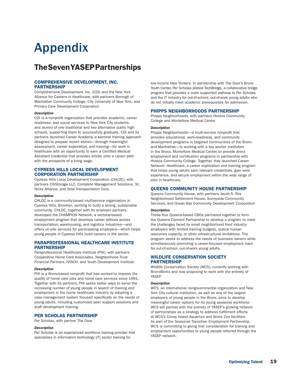# Appendix

# The Seven YASEP Partnerships

#### COMPREHENSIVE DEVELOPMENT, INC. PARTNERSHIP

Comprehensive Development, Inc. (CDI) and the New York Alliance for Careers in Healthcare, with partners Borough of Manhattan Community College, City University of New York, and Primary Care Development Corporation

#### *Description*

CDI is a nonprofit organization that provides academic, career readiness, and social services to New York City students and alumni of one traditional and two alternative public high schools, supporting them to successfully graduate. CDI and its partners launched Career Academy, a sectoral training approach designed to prepare recent alumni—through meaningful assessment, career exploration, and training—for work in healthcare with an opportunity to earn a Certified Medical Assistant credential that provides entrée onto a career path with the prospects of a living wage.

#### CYPRESS HILLS LOCAL DEVELOPMENT CORPORATION PARTNERSHIP

Cypress Hills Local Development Corporation (CHLDC), with partners CitiStorage LLC, Complete Management Solutions, St. Nicks Alliance, and Total Transportation Corp.

#### *Description*

CHLDC is a community-based multiservice organization in Cypress Hills, Brooklyn, working to build a strong, sustainable community. CHLDC, together with its employer partners, developed the CHAMPION Network, a sectoral-based employment program that develops career lattices across transportation, warehousing, and logistics industries—and offers on-site services for participating employers—which helps young people in Cypress Hills build careers in the sector.

#### PARAPROFESSIONAL HEALTHCARE INSTITUTE PARTNERSHIP

Paraprofessional Healthcare Institute (PHI), with partners Cooperative Home Care Associates, Neighborhood Trust Financial Partners, NYACH, and Youth Development Institute

#### *Description*

PHI is a Bronx-based nonprofit that has worked to improve the quality of home care jobs and home care services since 1991. Together with its partners, PHI seeks better ways to serve the increasing number of young people in search of training and employment in the home healthcare industry by adopting a case management system focused specifically on the needs of young adults, including customized peer support sessions and staff development training.

#### PER SCHOLAS PARTNERSHIP

Per Scholas, with partner The Door

#### *Description*

Per Scholas is an experienced workforce training provider that specializes in information technology (IT) sector training for

low-income New Yorkers. In partnership with The Door's Bronx Youth Center, Per Scholas piloted TechBridge, a collaborative bridge program that provides a more supported pathway to Per Scholas and the IT industry for out-of-school, out-of-work young adults who do not initially meet academic prerequisites for admission.

#### PHIPPS NEIGHBORHOODS PARTNERSHIP

Phipps Neighborhoods, with partners Hostos Community College and Montefiore Medical Center

#### *Description*

Phipps Neighborhoods—a multi-service nonprofit that provides educational, work-readiness, and community development programs in targeted communities of the Bronx and Manhattan—is working with a key anchor institution in the Bronx, Montefiore Medical Center, to provide direct employment and certification programs in partnership with Hostos Community College. Together, they launched Career Network: Healthcare, a career exploration and training program that helps young adults earn relevant credentials, gain work experience, and secure employment within the wide range of jobs in healthcare.

#### QUEENS COMMUNITY HOUSE PARTNERSHIP

Queens Community House, with partners Jacob A. Riis Neighborhood Settlement House, Sunnyside Community Services, and Ocean Bay Community Development Corporation

#### *Description*

These four Queens-based CBOs partnered together to form the Queens Connect Partnership to develop a program to meet the challenges faced by small neighborhood food industry employers with limited training budgets, scarce human resources capacity, or other infrastructural limitations. The program seeks to address the needs of business owners while simultaneously promoting a career-focused employment track for out-of-school, out-of-work young adults.

#### WILDLIFE CONSERVATION SOCIETY **PARTNERSHIP**

Wildlife Conservation Society (WCS), currently working with BronxWorks and now proposing to work with the entirety of YASEP

#### *Description*

WCS, an international nongovernmental organization and New York City cultural institution, as well as one of the largest employers of young people in the Bronx, aims to develop meaningful career options for its young seasonal workforce. WCS will partner with the entirety of YASEP's growing network of partnerships as a strategy to address fulfillment efforts at WCS's Coney Island Aquarium and Bronx Zoo facilities. As part of the Seasonal Transition Employment Partnership, WCS is committing to giving first consideration for training and employment opportunities to young people referred through the YASEP network.